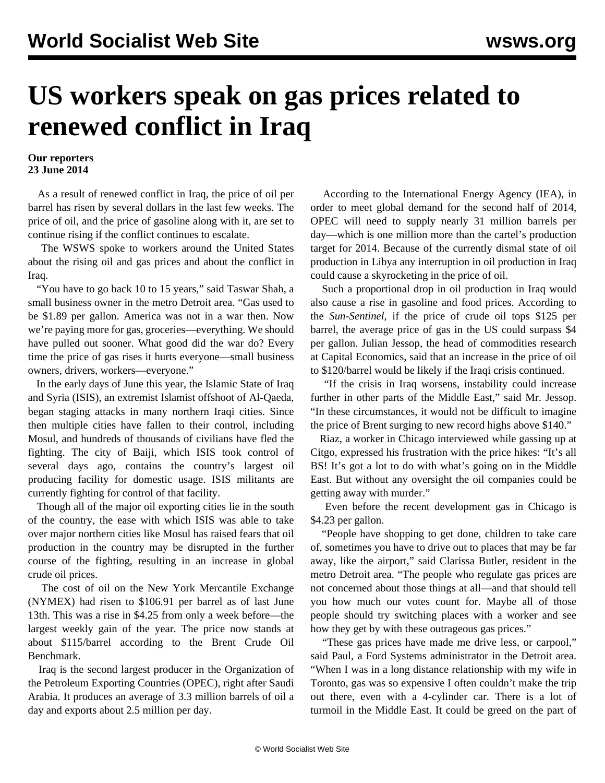## **US workers speak on gas prices related to renewed conflict in Iraq**

## **Our reporters 23 June 2014**

 As a result of renewed conflict in Iraq, the price of oil per barrel has risen by several dollars in the last few weeks. The price of oil, and the price of gasoline along with it, are set to continue rising if the conflict continues to escalate.

 The WSWS spoke to workers around the United States about the rising oil and gas prices and about the conflict in Iraq.

 "You have to go back 10 to 15 years," said Taswar Shah, a small business owner in the metro Detroit area. "Gas used to be \$1.89 per gallon. America was not in a war then. Now we're paying more for gas, groceries—everything. We should have pulled out sooner. What good did the war do? Every time the price of gas rises it hurts everyone—small business owners, drivers, workers—everyone."

 In the early days of June this year, the Islamic State of Iraq and Syria (ISIS), an extremist Islamist offshoot of Al-Qaeda, began staging attacks in many northern Iraqi cities. Since then multiple cities have fallen to their control, including Mosul, and hundreds of thousands of civilians have fled the fighting. The city of Baiji, which ISIS took control of several days ago, contains the country's largest oil producing facility for domestic usage. ISIS militants are currently fighting for control of that facility.

 Though all of the major oil exporting cities lie in the south of the country, the ease with which ISIS was able to take over major northern cities like Mosul has raised fears that oil production in the country may be disrupted in the further course of the fighting, resulting in an increase in global crude oil prices.

 The cost of oil on the New York Mercantile Exchange (NYMEX) had risen to \$106.91 per barrel as of last June 13th. This was a rise in \$4.25 from only a week before—the largest weekly gain of the year. The price now stands at about \$115/barrel according to the Brent Crude Oil Benchmark.

 Iraq is the second largest producer in the Organization of the Petroleum Exporting Countries (OPEC), right after Saudi Arabia. It produces an average of 3.3 million barrels of oil a day and exports about 2.5 million per day.

 According to the International Energy Agency (IEA), in order to meet global demand for the second half of 2014, OPEC will need to supply nearly 31 million barrels per day—which is one million more than the cartel's production target for 2014. Because of the currently dismal state of oil production in Libya any interruption in oil production in Iraq could cause a skyrocketing in the price of oil.

 Such a proportional drop in oil production in Iraq would also cause a rise in gasoline and food prices. According to the *Sun-Sentinel*, if the price of crude oil tops \$125 per barrel, the average price of gas in the US could surpass \$4 per gallon. Julian Jessop, the head of commodities research at Capital Economics, said that an increase in the price of oil to \$120/barrel would be likely if the Iraqi crisis continued.

 "If the crisis in Iraq worsens, instability could increase further in other parts of the Middle East," said Mr. Jessop. "In these circumstances, it would not be difficult to imagine the price of Brent surging to new record highs above \$140."

 Riaz, a worker in Chicago interviewed while gassing up at Citgo, expressed his frustration with the price hikes: "It's all BS! It's got a lot to do with what's going on in the Middle East. But without any oversight the oil companies could be getting away with murder."

 Even before the recent development gas in Chicago is \$4.23 per gallon.

 "People have shopping to get done, children to take care of, sometimes you have to drive out to places that may be far away, like the airport," said Clarissa Butler, resident in the metro Detroit area. "The people who regulate gas prices are not concerned about those things at all—and that should tell you how much our votes count for. Maybe all of those people should try switching places with a worker and see how they get by with these outrageous gas prices."

 "These gas prices have made me drive less, or carpool," said Paul, a Ford Systems administrator in the Detroit area. "When I was in a long distance relationship with my wife in Toronto, gas was so expensive I often couldn't make the trip out there, even with a 4-cylinder car. There is a lot of turmoil in the Middle East. It could be greed on the part of